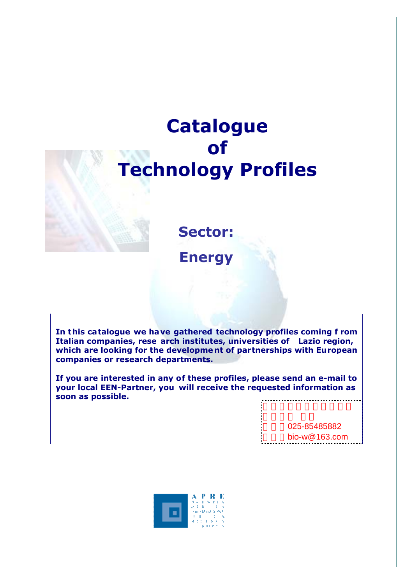# **Catalogue of Technology Profiles**

**Sector: Energy** 

**In this ca talogue we have gathered technology profiles coming f rom Italian companies, rese arch institutes, universities of Lazio region, which are looking for the developme nt of partnerships with European companies or research departments.** 

**If you are interested in any of these profiles, please send an e-mail to your local EEN-Partner, you will receive the requested information as soon as possible.** 

> 电话:025-85485882 bio-w $@163$ .com

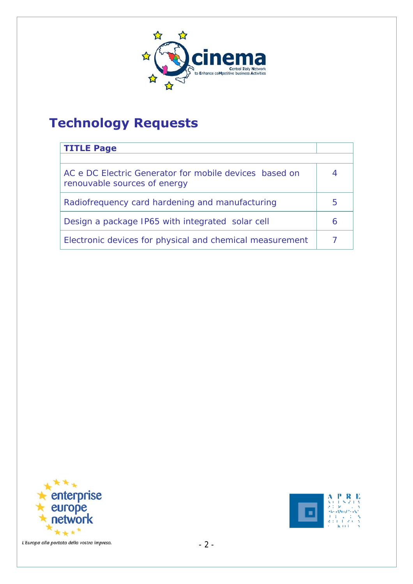

# **Technology Requests**

| <b>TITLE Page</b>                                                                      |   |
|----------------------------------------------------------------------------------------|---|
|                                                                                        |   |
| AC e DC Electric Generator for mobile devices based on<br>renouvable sources of energy |   |
| Radiofrequency card hardening and manufacturing                                        | 5 |
| Design a package IP65 with integrated solar cell                                       | 6 |
| Electronic devices for physical and chemical measurement                               |   |



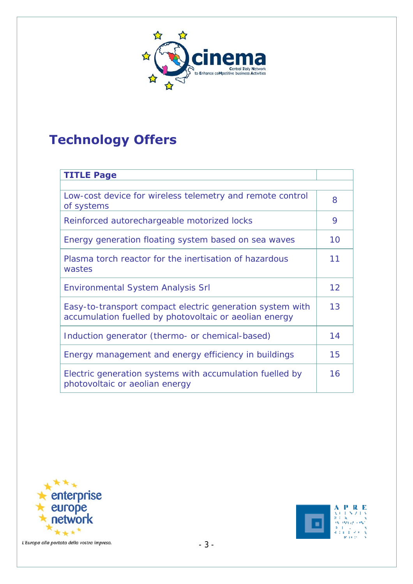

# **Technology Offers**

| <b>TITLE Page</b>                                                                                                   |    |  |
|---------------------------------------------------------------------------------------------------------------------|----|--|
|                                                                                                                     |    |  |
| Low-cost device for wireless telemetry and remote control<br>of systems                                             | 8  |  |
| Reinforced autorechargeable motorized locks                                                                         | 9  |  |
| Energy generation floating system based on sea waves                                                                | 10 |  |
| Plasma torch reactor for the inertisation of hazardous<br>wastes                                                    | 11 |  |
| <b>Environmental System Analysis Srl</b>                                                                            | 12 |  |
| Easy-to-transport compact electric generation system with<br>accumulation fuelled by photovoltaic or aeolian energy | 13 |  |
| Induction generator (thermo- or chemical-based)                                                                     | 14 |  |
| Energy management and energy efficiency in buildings                                                                | 15 |  |
| Electric generation systems with accumulation fuelled by<br>photovoltaic or aeolian energy                          | 16 |  |



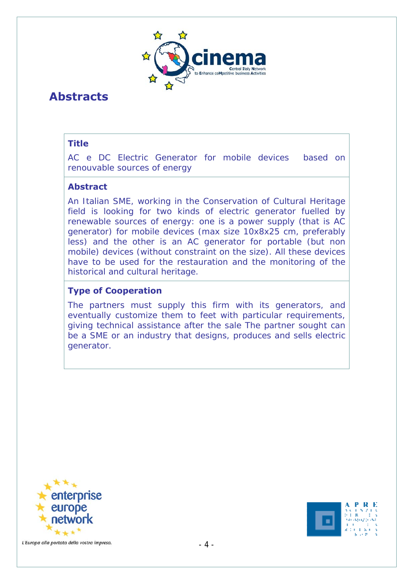

# **Abstracts**

# **Title**

AC e DC Electric Generator for mobile devices based on renouvable sources of energy

#### **Abstract**

An Italian SME, working in the Conservation of Cultural Heritage field is looking for two kinds of electric generator fuelled by renewable sources of energy: one is a power supply (that is AC generator) for mobile devices (max size 10x8x25 cm, preferably less) and the other is an AC generator for portable (but non mobile) devices (without constraint on the size). All these devices have to be used for the restauration and the monitoring of the historical and cultural heritage.

# **Type of Cooperation**

The partners must supply this firm with its generators, and eventually customize them to feet with particular requirements, giving technical assistance after the sale The partner sought can be a SME or an industry that designs, produces and sells electric generator.



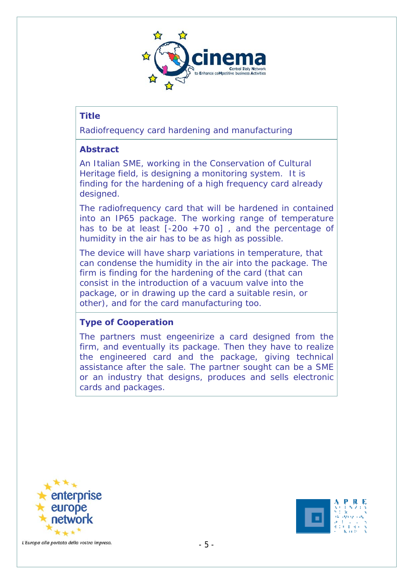

Radiofrequency card hardening and manufacturing

#### **Abstract**

An Italian SME, working in the Conservation of Cultural Heritage field, is designing a monitoring system. It is finding for the hardening of a high frequency card already designed.

The radiofrequency card that will be hardened in contained into an IP65 package. The working range of temperature has to be at least  $[-200 + 70]$ , and the percentage of humidity in the air has to be as high as possible.

The device will have sharp variations in temperature, that can condense the humidity in the air into the package. The firm is finding for the hardening of the card (that can consist in the introduction of a vacuum valve into the package, or in drawing up the card a suitable resin, or other), and for the card manufacturing too.

# **Type of Cooperation**

The partners must engeenirize a card designed from the firm, and eventually its package. Then they have to realize the engineered card and the package, giving technical assistance after the sale. The partner sought can be a SME or an industry that designs, produces and sells electronic cards and packages.



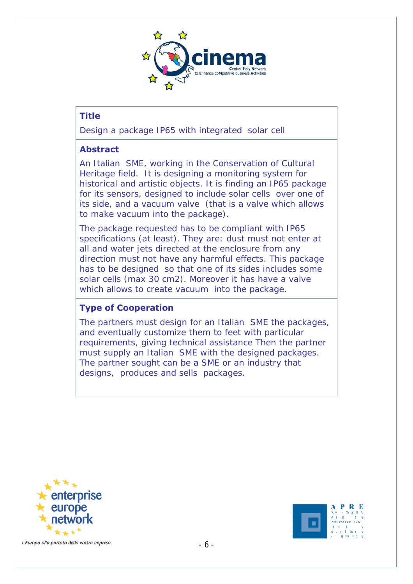

Design a package IP65 with integrated solar cell

#### **Abstract**

An Italian SME, working in the Conservation of Cultural Heritage field. It is designing a monitoring system for historical and artistic objects. It is finding an IP65 package for its sensors, designed to include solar cells over one of its side, and a vacuum valve (that is a valve which allows to make vacuum into the package).

The package requested has to be compliant with IP65 specifications (at least). They are: dust must not enter at all and water jets directed at the enclosure from any direction must not have any harmful effects. This package has to be designed so that one of its sides includes some solar cells (max 30 cm2). Moreover it has have a valve which allows to create vacuum into the package.

# **Type of Cooperation**

The partners must design for an Italian SME the packages, and eventually customize them to feet with particular requirements, giving technical assistance Then the partner must supply an Italian SME with the designed packages. The partner sought can be a SME or an industry that designs, produces and sells packages.



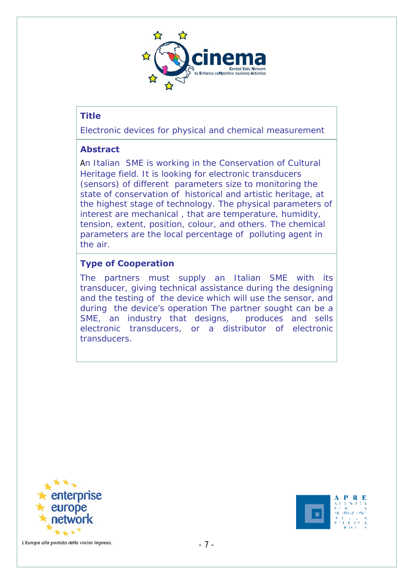

Electronic devices for physical and chemical measurement

#### **Abstract**

An Italian SME is working in the Conservation of Cultural Heritage field. It is looking for electronic transducers (sensors) of different parameters size to monitoring the state of conservation of historical and artistic heritage, at the highest stage of technology. The physical parameters of interest are mechanical , that are temperature, humidity, tension, extent, position, colour, and others. The chemical parameters are the local percentage of polluting agent in the air.

# **Type of Cooperation**

The partners must supply an Italian SME with its transducer, giving technical assistance during the designing and the testing of the device which will use the sensor, and during the device's operation The partner sought can be a SME, an industry that designs, produces and sells electronic transducers, or a distributor of electronic transducers.



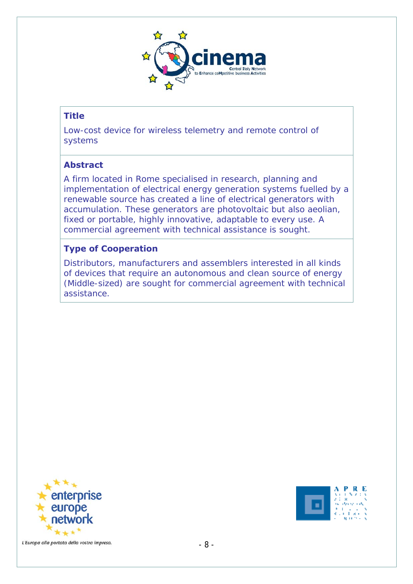

Low-cost device for wireless telemetry and remote control of systems

#### **Abstract**

A firm located in Rome specialised in research, planning and implementation of electrical energy generation systems fuelled by a renewable source has created a line of electrical generators with accumulation. These generators are photovoltaic but also aeolian, fixed or portable, highly innovative, adaptable to every use. A commercial agreement with technical assistance is sought.

# **Type of Cooperation**

Distributors, manufacturers and assemblers interested in all kinds of devices that require an autonomous and clean source of energy (Middle-sized) are sought for commercial agreement with technical assistance.



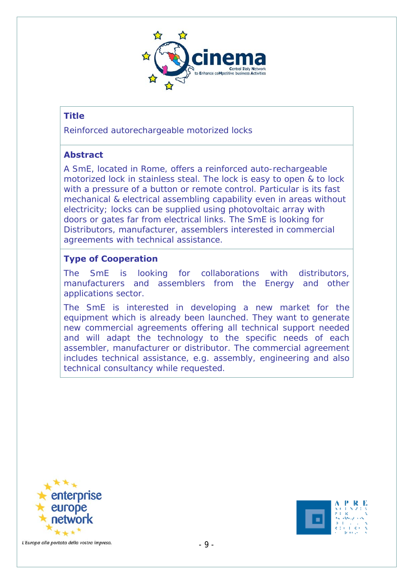

Reinforced autorechargeable motorized locks

#### **Abstract**

A SmE, located in Rome, offers a reinforced auto-rechargeable motorized lock in stainless steal. The lock is easy to open & to lock with a pressure of a button or remote control. Particular is its fast mechanical & electrical assembling capability even in areas without electricity; locks can be supplied using photovoltaic array with doors or gates far from electrical links. The SmE is looking for Distributors, manufacturer, assemblers interested in commercial agreements with technical assistance.

#### **Type of Cooperation**

The SmE is looking for collaborations with distributors, manufacturers and assemblers from the Energy and other applications sector.

The SmE is interested in developing a new market for the equipment which is already been launched. They want to generate new commercial agreements offering all technical support needed and will adapt the technology to the specific needs of each assembler, manufacturer or distributor. The commercial agreement includes technical assistance, e.g. assembly, engineering and also technical consultancy while requested.



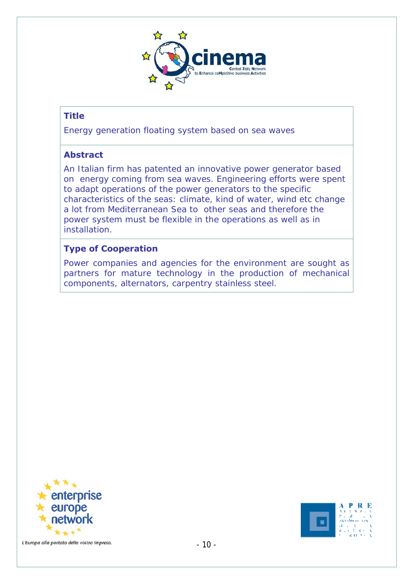

Energy generation floating system based on sea waves

# **Abstract**

An Italian firm has patented an innovative power generator based on energy coming from sea waves. Engineering efforts were spent to adapt operations of the power generators to the specific characteristics of the seas: climate, kind of water, wind etc change a lot from Mediterranean Sea to other seas and therefore the power system must be flexible in the operations as well as in installation.

# **Type of Cooperation**

Power companies and agencies for the environment are sought as partners for mature technology in the production of mechanical components, alternators, carpentry stainless steel.



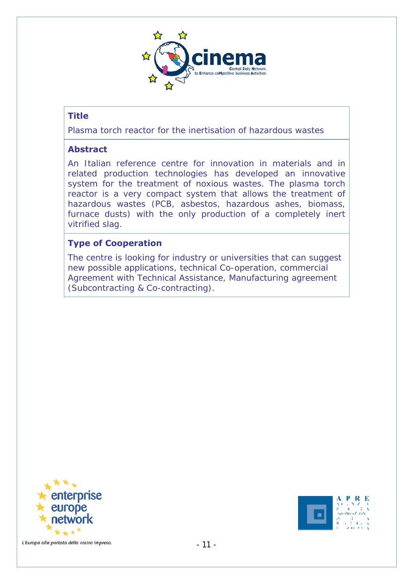

Plasma torch reactor for the inertisation of hazardous wastes

#### **Abstract**

An Italian reference centre for innovation in materials and in related production technologies has developed an innovative system for the treatment of noxious wastes. The plasma torch reactor is a very compact system that allows the treatment of hazardous wastes (PCB, asbestos, hazardous ashes, biomass, furnace dusts) with the only production of a completely inert vitrified slag.

#### **Type of Cooperation**

The centre is looking for industry or universities that can suggest new possible applications, technical Co-operation, commercial Agreement with Technical Assistance, Manufacturing agreement (Subcontracting & Co-contracting).



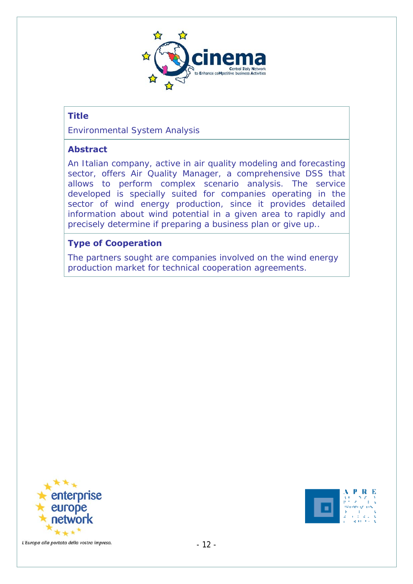

Environmental System Analysis

#### **Abstract**

An Italian company, active in air quality modeling and forecasting sector, offers Air Quality Manager, a comprehensive DSS that allows to perform complex scenario analysis. The service developed is specially suited for companies operating in the sector of wind energy production, since it provides detailed information about wind potential in a given area to rapidly and precisely determine if preparing a business plan or give up..

#### **Type of Cooperation**

The partners sought are companies involved on the wind energy production market for technical cooperation agreements.



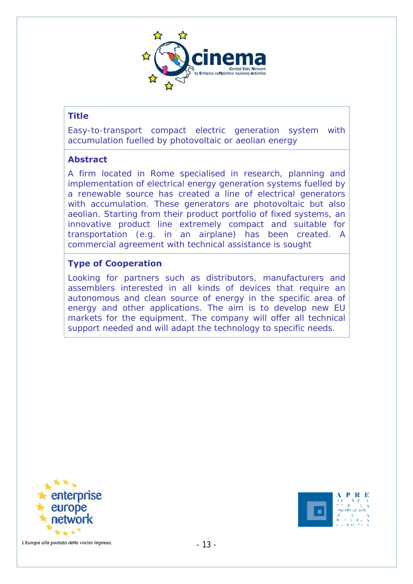

Easy-to-transport compact electric generation system with accumulation fuelled by photovoltaic or aeolian energy

#### **Abstract**

A firm located in Rome specialised in research, planning and implementation of electrical energy generation systems fuelled by a renewable source has created a line of electrical generators with accumulation. These generators are photovoltaic but also aeolian. Starting from their product portfolio of fixed systems, an innovative product line extremely compact and suitable for transportation (e.g. in an airplane) has been created. A commercial agreement with technical assistance is sought

#### **Type of Cooperation**

Looking for partners such as distributors, manufacturers and assemblers interested in all kinds of devices that require an autonomous and clean source of energy in the specific area of energy and other applications. The aim is to develop new EU markets for the equipment. The company will offer all technical support needed and will adapt the technology to specific needs.



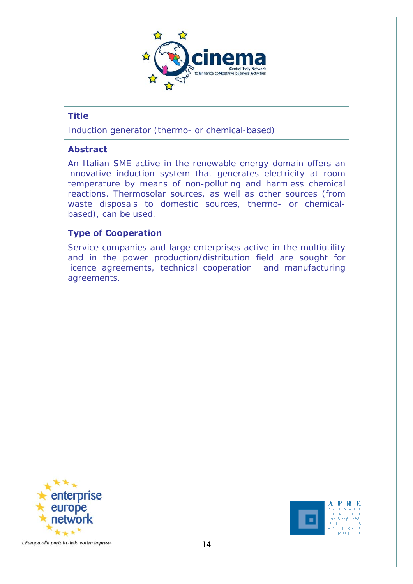

Induction generator (thermo- or chemical-based)

#### **Abstract**

An Italian SME active in the renewable energy domain offers an innovative induction system that generates electricity at room temperature by means of non-polluting and harmless chemical reactions. Thermosolar sources, as well as other sources (from waste disposals to domestic sources, thermo- or chemicalbased), can be used.

#### **Type of Cooperation**

Service companies and large enterprises active in the multiutility and in the power production/distribution field are sought for licence agreements, technical cooperation and manufacturing agreements.



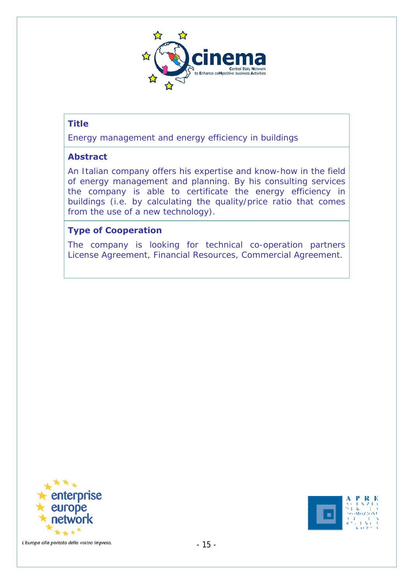

Energy management and energy efficiency in buildings

#### **Abstract**

An Italian company offers his expertise and know-how in the field of energy management and planning. By his consulting services the company is able to certificate the energy efficiency in buildings (i.e. by calculating the quality/price ratio that comes from the use of a new technology).

#### **Type of Cooperation**

The company is looking for technical co-operation partners License Agreement, Financial Resources, Commercial Agreement.